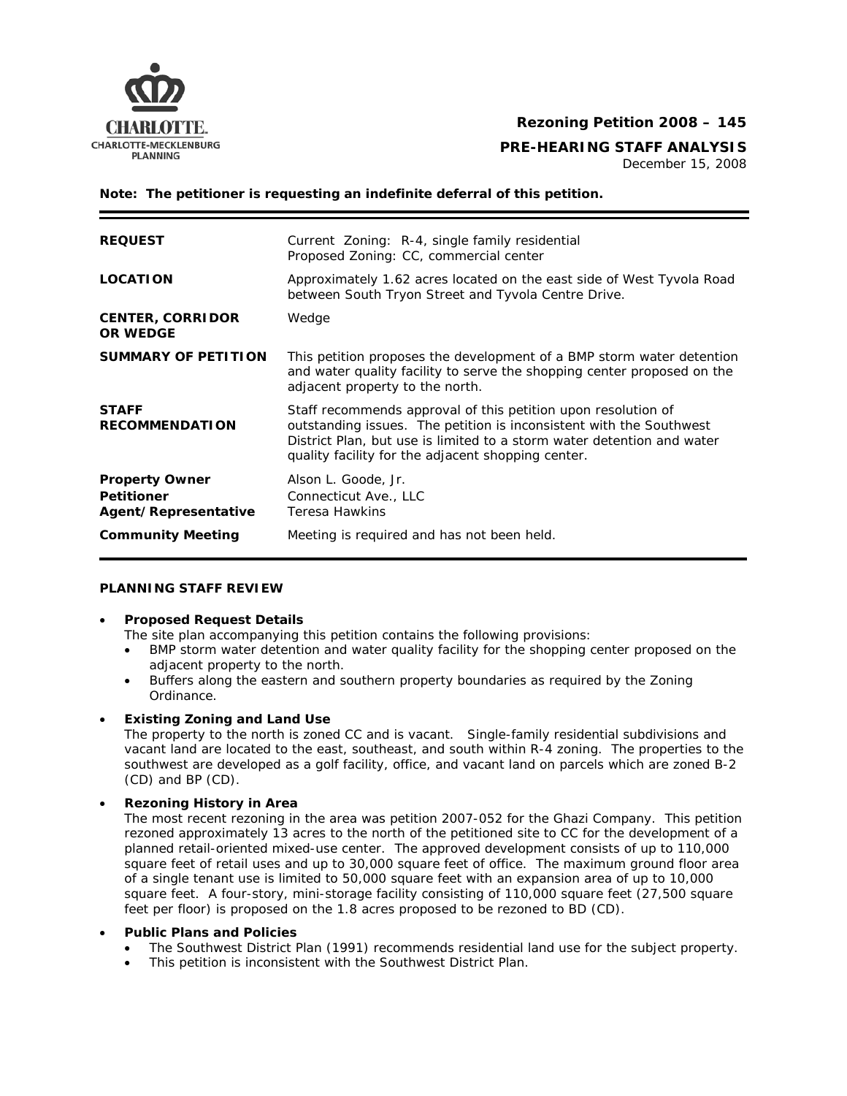

**CHARLOTTE-MECKLENBURG**<br>PLANNING PLANNING

December 15, 2008

**Note: The petitioner is requesting an indefinite deferral of this petition.**

| <b>REQUEST</b>                                                     | Current Zoning: R-4, single family residential<br>Proposed Zoning: CC, commercial center                                                                                                                                                                             |
|--------------------------------------------------------------------|----------------------------------------------------------------------------------------------------------------------------------------------------------------------------------------------------------------------------------------------------------------------|
| <b>LOCATION</b>                                                    | Approximately 1.62 acres located on the east side of West Tyvola Road<br>between South Tryon Street and Tyvola Centre Drive.                                                                                                                                         |
| <b>CENTER, CORRIDOR</b><br><b>OR WEDGE</b>                         | Wedge                                                                                                                                                                                                                                                                |
| <b>SUMMARY OF PETITION</b>                                         | This petition proposes the development of a BMP storm water detention<br>and water quality facility to serve the shopping center proposed on the<br>adjacent property to the north.                                                                                  |
| <b>STAFF</b><br><b>RECOMMENDATION</b>                              | Staff recommends approval of this petition upon resolution of<br>outstanding issues. The petition is inconsistent with the Southwest<br>District Plan, but use is limited to a storm water detention and water<br>quality facility for the adjacent shopping center. |
| <b>Property Owner</b><br><b>Petitioner</b><br>Agent/Representative | Alson L. Goode, Jr.<br>Connecticut Ave., LLC<br>Teresa Hawkins                                                                                                                                                                                                       |
| <b>Community Meeting</b>                                           | Meeting is required and has not been held.                                                                                                                                                                                                                           |

### **PLANNING STAFF REVIEW**

### • **Proposed Request Details**

The site plan accompanying this petition contains the following provisions:

- BMP storm water detention and water quality facility for the shopping center proposed on the adiacent property to the north.
- Buffers along the eastern and southern property boundaries as required by the Zoning Ordinance.

# • **Existing Zoning and Land Use**

The property to the north is zoned CC and is vacant. Single-family residential subdivisions and vacant land are located to the east, southeast, and south within R-4 zoning. The properties to the southwest are developed as a golf facility, office, and vacant land on parcels which are zoned B-2 (CD) and BP (CD).

# • **Rezoning History in Area**

The most recent rezoning in the area was petition 2007-052 for the Ghazi Company. This petition rezoned approximately 13 acres to the north of the petitioned site to CC for the development of a planned retail-oriented mixed-use center. The approved development consists of up to 110,000 square feet of retail uses and up to 30,000 square feet of office. The maximum ground floor area of a single tenant use is limited to 50,000 square feet with an expansion area of up to 10,000 square feet. A four-story, mini-storage facility consisting of 110,000 square feet (27,500 square feet per floor) is proposed on the 1.8 acres proposed to be rezoned to BD (CD).

### • **Public Plans and Policies**

- The *Southwest District Plan* (1991) recommends residential land use for the subject property.
- This petition is inconsistent with the *Southwest District Plan*.

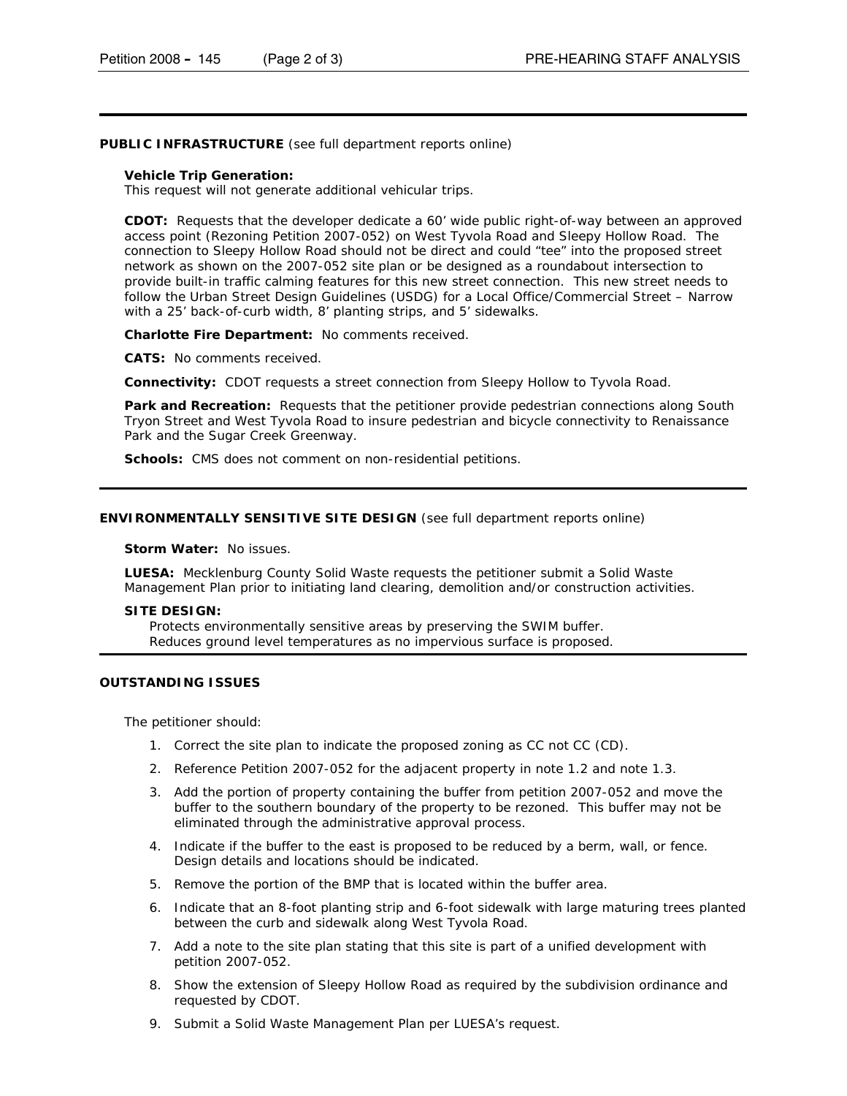### **PUBLIC INFRASTRUCTURE** (see full department reports online)

#### **Vehicle Trip Generation:**

This request will not generate additional vehicular trips.

**CDOT:** Requests that the developer dedicate a 60' wide public right-of-way between an approved access point (Rezoning Petition 2007-052) on West Tyvola Road and Sleepy Hollow Road. The connection to Sleepy Hollow Road should not be direct and could "tee" into the proposed street network as shown on the 2007-052 site plan or be designed as a roundabout intersection to provide built-in traffic calming features for this new street connection. This new street needs to follow the *Urban Street Design Guidelines* (USDG) for a Local Office/Commercial Street – Narrow with a 25' back-of-curb width, 8' planting strips, and 5' sidewalks.

**Charlotte Fire Department:** No comments received.

**CATS:** No comments received.

**Connectivity:** CDOT requests a street connection from Sleepy Hollow to Tyvola Road.

Park and Recreation: Requests that the petitioner provide pedestrian connections along South Tryon Street and West Tyvola Road to insure pedestrian and bicycle connectivity to Renaissance Park and the Sugar Creek Greenway.

**Schools:** CMS does not comment on non-residential petitions.

#### **ENVIRONMENTALLY SENSITIVE SITE DESIGN** (see full department reports online)

**Storm Water:** No issues.

**LUESA:** Mecklenburg County Solid Waste requests the petitioner submit a Solid Waste Management Plan prior to initiating land clearing, demolition and/or construction activities.

#### **SITE DESIGN:**

Protects environmentally sensitive areas by preserving the SWIM buffer. Reduces ground level temperatures as no impervious surface is proposed.

#### **OUTSTANDING ISSUES**

The petitioner should:

- 1. Correct the site plan to indicate the proposed zoning as CC not CC (CD).
- 2. Reference Petition 2007-052 for the adjacent property in note 1.2 and note 1.3.
- 3. Add the portion of property containing the buffer from petition 2007-052 and move the buffer to the southern boundary of the property to be rezoned. This buffer may not be eliminated through the administrative approval process.
- 4. Indicate if the buffer to the east is proposed to be reduced by a berm, wall, or fence. Design details and locations should be indicated.
- 5. Remove the portion of the BMP that is located within the buffer area.
- 6. Indicate that an 8-foot planting strip and 6-foot sidewalk with large maturing trees planted between the curb and sidewalk along West Tyvola Road.
- 7. Add a note to the site plan stating that this site is part of a unified development with petition 2007-052.
- 8. Show the extension of Sleepy Hollow Road as required by the subdivision ordinance and requested by CDOT.
- 9. Submit a Solid Waste Management Plan per LUESA's request.